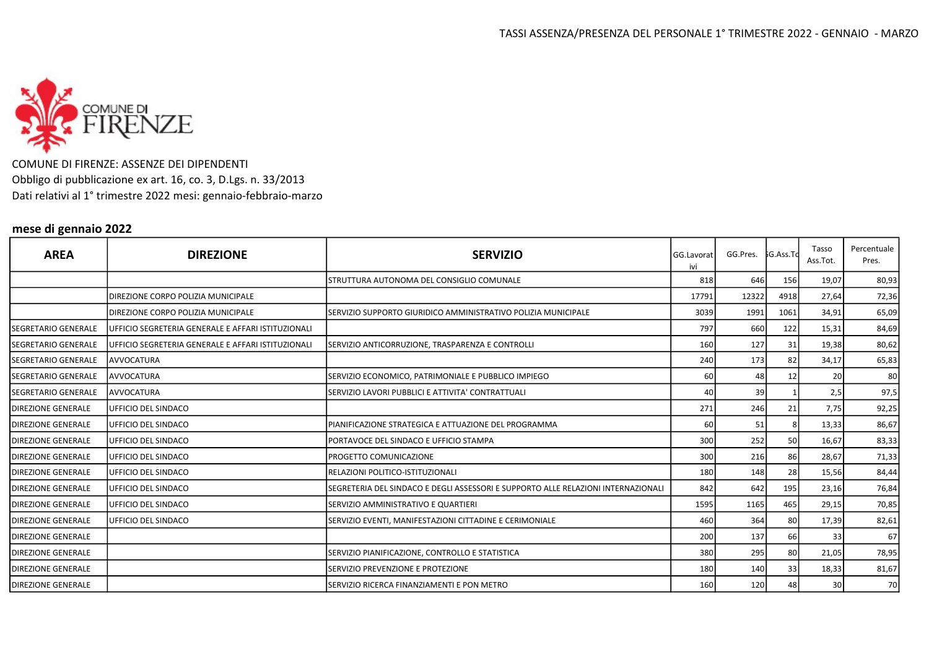

COMUNE DI FIRENZE: ASSENZE DEI DIPENDENTI Obbligo di pubblicazione ex art. 16, co. 3, D.Lgs. n. 33/2013 Dati relativi al 1° trimestre 2022 mesi: gennaio-febbraio-marzo

## mese di gennaio 2022

| <b>AREA</b>                | <b>DIREZIONE</b>                                   | <b>SERVIZIO</b>                                                                   | GG.Lavorat<br>ivi | GG.Pres.   | រិG.Ass.Tc | Tasso<br>Ass.Tot. | Percentuale  <br>Pres. |
|----------------------------|----------------------------------------------------|-----------------------------------------------------------------------------------|-------------------|------------|------------|-------------------|------------------------|
|                            |                                                    | STRUTTURA AUTONOMA DEL CONSIGLIO COMUNALE                                         | 818               | 646        | 156        | 19,07             | 80,93                  |
|                            | DIREZIONE CORPO POLIZIA MUNICIPALE                 |                                                                                   | 17791             | 12322      | 4918       | 27,64             | 72,36                  |
|                            | DIREZIONE CORPO POLIZIA MUNICIPALE                 | SERVIZIO SUPPORTO GIURIDICO AMMINISTRATIVO POLIZIA MUNICIPALE                     | 3039              | 1991       | 1061       | 34,91             | 65,09                  |
| SEGRETARIO GENERALE        | UFFICIO SEGRETERIA GENERALE E AFFARI ISTITUZIONALI |                                                                                   | 797               | 660        | 122        | 15,31             | 84,69                  |
| ISEGRETARIO GENERALE       | UFFICIO SEGRETERIA GENERALE E AFFARI ISTITUZIONALI | SERVIZIO ANTICORRUZIONE, TRASPARENZA E CONTROLLI                                  | 160               | 127        | 31         | 19,38             | 80,62                  |
| <b>SEGRETARIO GENERALE</b> | <b>AVVOCATURA</b>                                  |                                                                                   | 240               | 173        | 82         | 34,17             | 65,83                  |
| <b>SEGRETARIO GENERALE</b> | <b>AVVOCATURA</b>                                  | SERVIZIO ECONOMICO, PATRIMONIALE E PUBBLICO IMPIEGO                               | 60                | 48         | 12         | 20                | 80                     |
| <b>SEGRETARIO GENERALE</b> | <b>AVVOCATURA</b>                                  | SERVIZIO LAVORI PUBBLICI E ATTIVITA' CONTRATTUALI                                 | 40                | 39         |            | 2,5               | 97,5                   |
| <b>DIREZIONE GENERALE</b>  | <b>UFFICIO DEL SINDACO</b>                         |                                                                                   | 271               | 246        | 21         | 7,75              | 92,25                  |
| <b>DIREZIONE GENERALE</b>  | <b>UFFICIO DEL SINDACO</b>                         | IPIANIFICAZIONE STRATEGICA E ATTUAZIONE DEL PROGRAMMA                             | 60                | 51         |            | 13,33             | 86,67                  |
| <b>DIREZIONE GENERALE</b>  | <b>UFFICIO DEL SINDACO</b>                         | PORTAVOCE DEL SINDACO E UFFICIO STAMPA                                            | 300               | 252        | 50         | 16,67             | 83,33                  |
| <b>DIREZIONE GENERALE</b>  | <b>UFFICIO DEL SINDACO</b>                         | <b>PROGETTO COMUNICAZIONE</b>                                                     | 300               | <b>216</b> | 86         | 28,67             | 71,33                  |
| <b>DIREZIONE GENERALE</b>  | UFFICIO DEL SINDACO                                | IRELAZIONI POLITICO-ISTITUZIONALI                                                 | 180               | 148        | 28         | 15,56             | 84,44                  |
| <b>DIREZIONE GENERALE</b>  | <b>UFFICIO DEL SINDACO</b>                         | SEGRETERIA DEL SINDACO E DEGLI ASSESSORI E SUPPORTO ALLE RELAZIONI INTERNAZIONALI | 842               | 642        | 195        | 23,16             | 76,84                  |
| <b>DIREZIONE GENERALE</b>  | UFFICIO DEL SINDACO                                | SERVIZIO AMMINISTRATIVO E QUARTIERI                                               | 1595              | 1165       | 465        | 29,15             | 70,85                  |
| <b>IDIREZIONE GENERALE</b> | UFFICIO DEL SINDACO                                | SERVIZIO EVENTI, MANIFESTAZIONI CITTADINE E CERIMONIALE                           | 460               | 364        | 80         | 17,39             | 82,61                  |
| <b>IDIREZIONE GENERALE</b> |                                                    |                                                                                   | 200               | 137        | 66         | 33                | 67                     |
| <b>IDIREZIONE GENERALE</b> |                                                    | SERVIZIO PIANIFICAZIONE, CONTROLLO E STATISTICA                                   | 380               | 295        | 80         | 21,05             | 78,95                  |
| <b>DIREZIONE GENERALE</b>  |                                                    | <b>ISERVIZIO PREVENZIONE E PROTEZIONE</b>                                         | 180               | 140        | 33         | 18,33             | 81,67                  |
| <b>DIREZIONE GENERALE</b>  |                                                    | SERVIZIO RICERCA FINANZIAMENTI E PON METRO                                        | 160               | 120        | 48         | 30                | 70                     |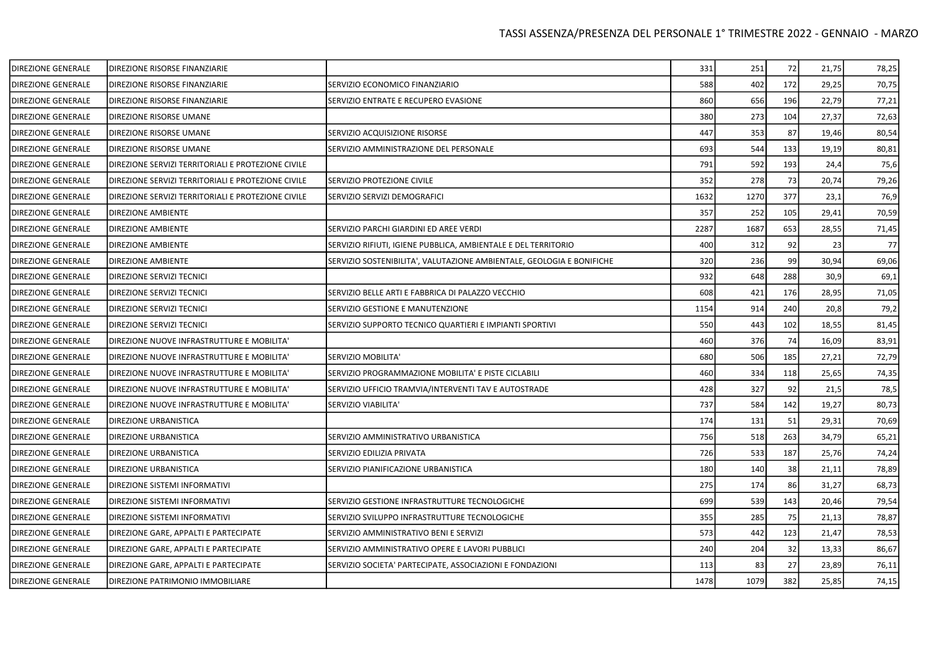| DIREZIONE GENERALE        | DIREZIONE RISORSE FINANZIARIE                      |                                                                       | 331  | 251  | 72  | 21,75 | 78,25 |
|---------------------------|----------------------------------------------------|-----------------------------------------------------------------------|------|------|-----|-------|-------|
| DIREZIONE GENERALE        | DIREZIONE RISORSE FINANZIARIE                      | SERVIZIO ECONOMICO FINANZIARIO                                        | 588  | 402  | 172 | 29,25 | 70,75 |
| DIREZIONE GENERALE        | DIREZIONE RISORSE FINANZIARIE                      | SERVIZIO ENTRATE E RECUPERO EVASIONE                                  | 860  | 656  | 196 | 22,79 | 77,21 |
| DIREZIONE GENERALE        | DIREZIONE RISORSE UMANE                            |                                                                       | 380  | 273  | 104 | 27,37 | 72,63 |
| DIREZIONE GENERALE        | DIREZIONE RISORSE UMANE                            | SERVIZIO ACQUISIZIONE RISORSE                                         | 447  | 353  | 87  | 19,46 | 80,54 |
| <b>DIREZIONE GENERALE</b> | DIREZIONE RISORSE UMANE                            | SERVIZIO AMMINISTRAZIONE DEL PERSONALE                                | 693  | 544  | 133 | 19,19 | 80,81 |
| <b>DIREZIONE GENERALE</b> | DIREZIONE SERVIZI TERRITORIALI E PROTEZIONE CIVILE |                                                                       | 791  | 592  | 193 | 24,4  | 75,6  |
| DIREZIONE GENERALE        | DIREZIONE SERVIZI TERRITORIALI E PROTEZIONE CIVILE | SERVIZIO PROTEZIONE CIVILE                                            | 352  | 278  | 73  | 20,74 | 79,26 |
| DIREZIONE GENERALE        | DIREZIONE SERVIZI TERRITORIALI E PROTEZIONE CIVILE | SERVIZIO SERVIZI DEMOGRAFICI                                          | 1632 | 1270 | 377 | 23,1  | 76,9  |
| DIREZIONE GENERALE        | DIREZIONE AMBIENTE                                 |                                                                       | 357  | 252  | 105 | 29,41 | 70,59 |
| DIREZIONE GENERALE        | <b>DIREZIONE AMBIENTE</b>                          | SERVIZIO PARCHI GIARDINI ED AREE VERDI                                | 2287 | 1687 | 653 | 28,55 | 71,45 |
| DIREZIONE GENERALE        | DIREZIONE AMBIENTE                                 | SERVIZIO RIFIUTI, IGIENE PUBBLICA, AMBIENTALE E DEL TERRITORIO        | 400  | 312  | 92  | 23    | 77    |
| DIREZIONE GENERALE        | DIREZIONE AMBIENTE                                 | SERVIZIO SOSTENIBILITA', VALUTAZIONE AMBIENTALE, GEOLOGIA E BONIFICHE | 320  | 236  | 99  | 30,94 | 69,06 |
| <b>DIREZIONE GENERALE</b> | DIREZIONE SERVIZI TECNICI                          |                                                                       | 932  | 648  | 288 | 30,9  | 69,1  |
| DIREZIONE GENERALE        | DIREZIONE SERVIZI TECNICI                          | SERVIZIO BELLE ARTI E FABBRICA DI PALAZZO VECCHIO                     | 608  | 421  | 176 | 28,95 | 71,05 |
| DIREZIONE GENERALE        | DIREZIONE SERVIZI TECNICI                          | SERVIZIO GESTIONE E MANUTENZIONE                                      | 1154 | 914  | 240 | 20,8  | 79,2  |
| <b>DIREZIONE GENERALE</b> | DIREZIONE SERVIZI TECNICI                          | SERVIZIO SUPPORTO TECNICO QUARTIERI E IMPIANTI SPORTIVI               | 550  | 443  | 102 | 18,55 | 81,45 |
| <b>DIREZIONE GENERALE</b> | DIREZIONE NUOVE INFRASTRUTTURE E MOBILITA'         |                                                                       | 460  | 376  | 74  | 16,09 | 83,91 |
| DIREZIONE GENERALE        | DIREZIONE NUOVE INFRASTRUTTURE E MOBILITA'         | SERVIZIO MOBILITA'                                                    | 680  | 506  | 185 | 27,21 | 72,79 |
| DIREZIONE GENERALE        | DIREZIONE NUOVE INFRASTRUTTURE E MOBILITA'         | SERVIZIO PROGRAMMAZIONE MOBILITA' E PISTE CICLABILI                   | 460  | 334  | 118 | 25,65 | 74,35 |
| <b>DIREZIONE GENERALE</b> | DIREZIONE NUOVE INFRASTRUTTURE E MOBILITA'         | SERVIZIO UFFICIO TRAMVIA/INTERVENTI TAV E AUTOSTRADE                  | 428  | 327  | 92  | 21,5  | 78,5  |
| DIREZIONE GENERALE        | DIREZIONE NUOVE INFRASTRUTTURE E MOBILITA'         | SERVIZIO VIABILITA'                                                   | 737  | 584  | 142 | 19,27 | 80,73 |
| DIREZIONE GENERALE        | <b>DIREZIONE URBANISTICA</b>                       |                                                                       | 174  | 131  | 51  | 29,31 | 70,69 |
| DIREZIONE GENERALE        | DIREZIONE URBANISTICA                              | SERVIZIO AMMINISTRATIVO URBANISTICA                                   | 756  | 518  | 263 | 34,79 | 65,21 |
| DIREZIONE GENERALE        | DIREZIONE URBANISTICA                              | SERVIZIO EDILIZIA PRIVATA                                             | 726  | 533  | 187 | 25,76 | 74,24 |
| DIREZIONE GENERALE        | DIREZIONE URBANISTICA                              | SERVIZIO PIANIFICAZIONE URBANISTICA                                   | 180  | 140  | 38  | 21,11 | 78,89 |
| DIREZIONE GENERALE        | DIREZIONE SISTEMI INFORMATIVI                      |                                                                       | 275  | 174  | 86  | 31,27 | 68,73 |
| DIREZIONE GENERALE        | DIREZIONE SISTEMI INFORMATIVI                      | SERVIZIO GESTIONE INFRASTRUTTURE TECNOLOGICHE                         | 699  | 539  | 143 | 20,46 | 79,54 |
| <b>DIREZIONE GENERALE</b> | DIREZIONE SISTEMI INFORMATIVI                      | SERVIZIO SVILUPPO INFRASTRUTTURE TECNOLOGICHE                         | 355  | 285  | 75  | 21,13 | 78,87 |
| <b>DIREZIONE GENERALE</b> | DIREZIONE GARE, APPALTI E PARTECIPATE              | SERVIZIO AMMINISTRATIVO BENI E SERVIZI                                | 573  | 442  | 123 | 21,47 | 78,53 |
| DIREZIONE GENERALE        | DIREZIONE GARE, APPALTI E PARTECIPATE              | SERVIZIO AMMINISTRATIVO OPERE E LAVORI PUBBLICI                       | 240  | 204  | 32  | 13,33 | 86,67 |
| <b>DIREZIONE GENERALE</b> | DIREZIONE GARE, APPALTI E PARTECIPATE              | SERVIZIO SOCIETA' PARTECIPATE, ASSOCIAZIONI E FONDAZIONI              | 113  | 83   | 27  | 23,89 | 76,11 |
| DIREZIONE GENERALE        | DIREZIONE PATRIMONIO IMMOBILIARE                   |                                                                       | 1478 | 1079 | 382 | 25,85 | 74,15 |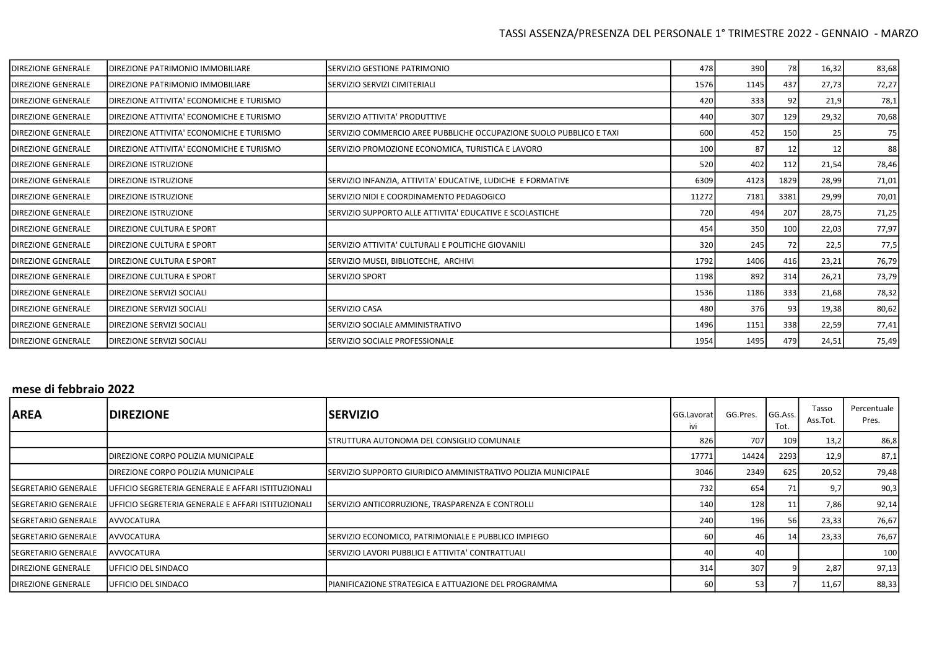| <b>DIREZIONE GENERALE</b> | <b>I</b> DIREZIONE PATRIMONIO IMMOBILIARE | ISERVIZIO GESTIONE PATRIMONIO                                       | 478   | 390  | 78   | 16,32 | 83,68 |
|---------------------------|-------------------------------------------|---------------------------------------------------------------------|-------|------|------|-------|-------|
| <b>DIREZIONE GENERALE</b> | <b>DIREZIONE PATRIMONIO IMMOBILIARE</b>   | ISERVIZIO SERVIZI CIMITERIALI                                       | 1576  | 1145 | 437  | 27,73 | 72,27 |
| <b>DIREZIONE GENERALE</b> | DIREZIONE ATTIVITA' ECONOMICHE E TURISMO  |                                                                     | 420   | 333  | 92   | 21,9  | 78,1  |
| <b>DIREZIONE GENERALE</b> | IDIREZIONE ATTIVITA' ECONOMICHE E TURISMO | SERVIZIO ATTIVITA' PRODUTTIVE                                       | 440   | 307  | 129  | 29,32 | 70,68 |
| <b>DIREZIONE GENERALE</b> | DIREZIONE ATTIVITA' ECONOMICHE E TURISMO  | SERVIZIO COMMERCIO AREE PUBBLICHE OCCUPAZIONE SUOLO PUBBLICO E TAXI | 60C   | 452  | 150  | 25    | 75    |
| <b>DIREZIONE GENERALE</b> | IDIREZIONE ATTIVITA' ECONOMICHE E TURISMO | SERVIZIO PROMOZIONE ECONOMICA, TURISTICA E LAVORO                   | 100   | 87   | 12   | 12    | 88    |
| <b>DIREZIONE GENERALE</b> | <b>DIREZIONE ISTRUZIONE</b>               |                                                                     | 520   | 402  | 112  | 21,54 | 78,46 |
| <b>DIREZIONE GENERALE</b> | <b>DIREZIONE ISTRUZIONE</b>               | SERVIZIO INFANZIA, ATTIVITA' EDUCATIVE, LUDICHE E FORMATIVE         | 6309  | 4123 | 1829 | 28,99 | 71,01 |
| <b>DIREZIONE GENERALE</b> | <b>DIREZIONE ISTRUZIONE</b>               | SERVIZIO NIDI E COORDINAMENTO PEDAGOGICO                            | 11272 | 7181 | 3381 | 29,99 | 70,01 |
| <b>DIREZIONE GENERALE</b> | <b>DIREZIONE ISTRUZIONE</b>               | SERVIZIO SUPPORTO ALLE ATTIVITA' EDUCATIVE E SCOLASTICHE            | 720   | 494  | 207  | 28,75 | 71,25 |
| <b>DIREZIONE GENERALE</b> | <b>IDIREZIONE CULTURA E SPORT</b>         |                                                                     | 454   | 350  | 100  | 22,03 | 77,97 |
| <b>DIREZIONE GENERALE</b> | <b>DIREZIONE CULTURA E SPORT</b>          | SERVIZIO ATTIVITA' CULTURALI E POLITICHE GIOVANILI                  | 320   | 245  | 72   | 22,5  | 77,5  |
| <b>DIREZIONE GENERALE</b> | <b>DIREZIONE CULTURA E SPORT</b>          | SERVIZIO MUSEI, BIBLIOTECHE, ARCHIVI                                | 1792  | 1406 | 416  | 23,21 | 76,79 |
| <b>DIREZIONE GENERALE</b> | <b>IDIREZIONE CULTURA E SPORT</b>         | <b>ISERVIZIO SPORT</b>                                              | 1198  | 892  | 314  | 26,21 | 73,79 |
| <b>DIREZIONE GENERALE</b> | DIREZIONE SERVIZI SOCIALI                 |                                                                     | 1536  | 1186 | 333  | 21,68 | 78,32 |
| <b>DIREZIONE GENERALE</b> | <b>DIREZIONE SERVIZI SOCIALI</b>          | <b>SERVIZIO CASA</b>                                                | 480   | 376  | 93   | 19,38 | 80,62 |
| <b>DIREZIONE GENERALE</b> | <b>DIREZIONE SERVIZI SOCIALI</b>          | SERVIZIO SOCIALE AMMINISTRATIVO                                     | 1496  | 1151 | 338  | 22,59 | 77,41 |
| <b>DIREZIONE GENERALE</b> | <b>DIREZIONE SERVIZI SOCIALI</b>          | SERVIZIO SOCIALE PROFESSIONALE                                      | 1954  | 1495 | 479  | 24,51 | 75,49 |

# mese di febbraio 2022

| <b>AREA</b>                 | <b>DIREZIONE</b>                                    | <b>SERVIZIO</b>                                                | GG.Lavorat<br>ivi | GG.Pres. | GG.Ass.<br>Tot. | Tasso<br>Ass.Tot. | Percentuale<br>Pres. |
|-----------------------------|-----------------------------------------------------|----------------------------------------------------------------|-------------------|----------|-----------------|-------------------|----------------------|
|                             |                                                     | ISTRUTTURA AUTONOMA DEL CONSIGLIO COMUNALE                     | 826               | 707      | 109             | 13,2              | 86,8                 |
|                             | DIREZIONE CORPO POLIZIA MUNICIPALE                  |                                                                | 17771             | 14424    | 2293            | 12,9              | 87,1                 |
|                             | DIREZIONE CORPO POLIZIA MUNICIPALE                  | ISERVIZIO SUPPORTO GIURIDICO AMMINISTRATIVO POLIZIA MUNICIPALE | 3046              | 2349     | 625             | 20,52             | 79,48                |
| <b>ISEGRETARIO GENERALE</b> | UFFICIO SEGRETERIA GENERALE E AFFARI ISTITUZIONALI  |                                                                | 732               | 654      |                 | 9,7               | 90,3                 |
| ISEGRETARIO GENERALE        | IUFFICIO SEGRETERIA GENERALE E AFFARI ISTITUZIONALI | SERVIZIO ANTICORRUZIONE, TRASPARENZA E CONTROLLI               | 140               | 128      |                 | 7,86              | 92,14                |
| ISEGRETARIO GENERALE        | <b>AVVOCATURA</b>                                   |                                                                | 240               | 196      | 56              | 23,33             | 76,67                |
| ISEGRETARIO GENERALE        | AVVOCATURA                                          | SERVIZIO ECONOMICO, PATRIMONIALE E PUBBLICO IMPIEGO            | 60                | -46 I    |                 | 23,33             | 76,67                |
| ISEGRETARIO GENERALE        | AVVOCATURA                                          | ISERVIZIO LAVORI PUBBLICI E ATTIVITA' CONTRATTUALI             | 40                | 40 I     |                 |                   | 100                  |
| <b>I</b> DIREZIONE GENERALE | UFFICIO DEL SINDACO                                 |                                                                | 314               | 307      |                 | 2,87              | 97,13                |
| <b>I</b> DIREZIONE GENERALE | <b>IUFFICIO DEL SINDACO</b>                         | IPIANIFICAZIONE STRATEGICA E ATTUAZIONE DEL PROGRAMMA          | 60                | 53       |                 | 11,67             | 88,33                |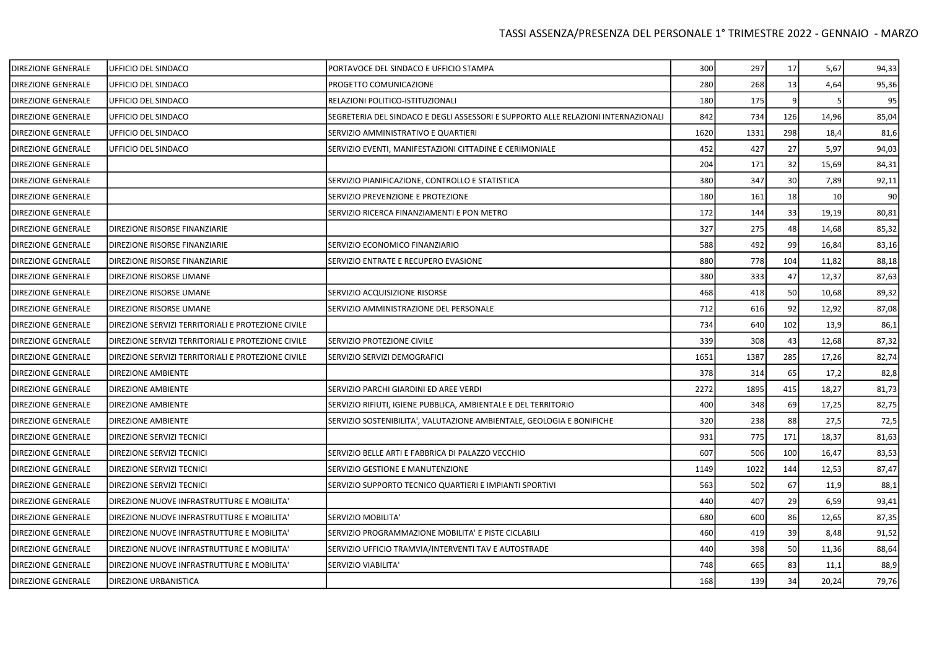| <b>DIREZIONE GENERALE</b> | UFFICIO DEL SINDACO                                | PORTAVOCE DEL SINDACO E UFFICIO STAMPA                                            | 300  | 297  | 17  | 5,67  | 94,33 |
|---------------------------|----------------------------------------------------|-----------------------------------------------------------------------------------|------|------|-----|-------|-------|
| DIREZIONE GENERALE        | UFFICIO DEL SINDACO                                | PROGETTO COMUNICAZIONE                                                            | 280  | 268  | 13  | 4,64  | 95,36 |
| <b>DIREZIONE GENERALE</b> | UFFICIO DEL SINDACO                                | RELAZIONI POLITICO-ISTITUZIONALI                                                  | 180  | 175  |     |       | 95    |
| <b>DIREZIONE GENERALE</b> | UFFICIO DEL SINDACO                                | SEGRETERIA DEL SINDACO E DEGLI ASSESSORI E SUPPORTO ALLE RELAZIONI INTERNAZIONALI | 842  | 734  | 126 | 14,96 | 85,04 |
| DIREZIONE GENERALE        | UFFICIO DEL SINDACO                                | SERVIZIO AMMINISTRATIVO E QUARTIERI                                               | 1620 | 1331 | 298 | 18,4  | 81,6  |
| <b>DIREZIONE GENERALE</b> | UFFICIO DEL SINDACO                                | SERVIZIO EVENTI, MANIFESTAZIONI CITTADINE E CERIMONIALE                           | 452  | 427  | 27  | 5,97  | 94,03 |
| DIREZIONE GENERALE        |                                                    |                                                                                   | 204  | 171  | 32  | 15,69 | 84,31 |
| DIREZIONE GENERALE        |                                                    | SERVIZIO PIANIFICAZIONE, CONTROLLO E STATISTICA                                   | 380  | 347  | 30  | 7,89  | 92,11 |
| DIREZIONE GENERALE        |                                                    | SERVIZIO PREVENZIONE E PROTEZIONE                                                 | 180  | 161  | 18  | 10    | 90    |
| DIREZIONE GENERALE        |                                                    | SERVIZIO RICERCA FINANZIAMENTI E PON METRO                                        | 172  | 144  | 33  | 19,19 | 80,81 |
| DIREZIONE GENERALE        | DIREZIONE RISORSE FINANZIARIE                      |                                                                                   | 327  | 275  | 48  | 14,68 | 85,32 |
| <b>DIREZIONE GENERALE</b> | DIREZIONE RISORSE FINANZIARIE                      | SERVIZIO ECONOMICO FINANZIARIO                                                    | 588  | 492  | 99  | 16,84 | 83,16 |
| DIREZIONE GENERALE        | DIREZIONE RISORSE FINANZIARIE                      | SERVIZIO ENTRATE E RECUPERO EVASIONE                                              | 880  | 778  | 104 | 11,82 | 88,18 |
| <b>DIREZIONE GENERALE</b> | DIREZIONE RISORSE UMANE                            |                                                                                   | 380  | 333  | 47  | 12,37 | 87,63 |
| <b>DIREZIONE GENERALE</b> | DIREZIONE RISORSE UMANE                            | SERVIZIO ACQUISIZIONE RISORSE                                                     | 468  | 418  | 50  | 10,68 | 89,32 |
| DIREZIONE GENERALE        | DIREZIONE RISORSE UMANE                            | SERVIZIO AMMINISTRAZIONE DEL PERSONALE                                            | 712  | 616  | 92  | 12,92 | 87,08 |
| <b>DIREZIONE GENERALE</b> | DIREZIONE SERVIZI TERRITORIALI E PROTEZIONE CIVILE |                                                                                   | 734  | 640  | 102 | 13,9  | 86,1  |
| DIREZIONE GENERALE        | DIREZIONE SERVIZI TERRITORIALI E PROTEZIONE CIVILE | SERVIZIO PROTEZIONE CIVILE                                                        | 339  | 308  | 43  | 12,68 | 87,32 |
| DIREZIONE GENERALE        | DIREZIONE SERVIZI TERRITORIALI E PROTEZIONE CIVILE | SERVIZIO SERVIZI DEMOGRAFICI                                                      | 1651 | 1387 | 285 | 17,26 | 82,74 |
| DIREZIONE GENERALE        | DIREZIONE AMBIENTE                                 |                                                                                   | 378  | 314  | 65  | 17,2  | 82,8  |
| DIREZIONE GENERALE        | <b>DIREZIONE AMBIENTE</b>                          | SERVIZIO PARCHI GIARDINI ED AREE VERDI                                            | 2272 | 1895 | 415 | 18,27 | 81,73 |
| DIREZIONE GENERALE        | <b>DIREZIONE AMBIENTE</b>                          | SERVIZIO RIFIUTI, IGIENE PUBBLICA, AMBIENTALE E DEL TERRITORIO                    | 400  | 348  | 69  | 17,25 | 82,75 |
| <b>DIREZIONE GENERALE</b> | <b>DIREZIONE AMBIENTE</b>                          | SERVIZIO SOSTENIBILITA', VALUTAZIONE AMBIENTALE, GEOLOGIA E BONIFICHE             | 320  | 238  | 88  | 27,5  | 72,5  |
| DIREZIONE GENERALE        | DIREZIONE SERVIZI TECNICI                          |                                                                                   | 931  | 775  | 171 | 18,37 | 81,63 |
| <b>DIREZIONE GENERALE</b> | DIREZIONE SERVIZI TECNICI                          | SERVIZIO BELLE ARTI E FABBRICA DI PALAZZO VECCHIO                                 | 607  | 506  | 100 | 16,47 | 83,53 |
| DIREZIONE GENERALE        | DIREZIONE SERVIZI TECNICI                          | SERVIZIO GESTIONE E MANUTENZIONE                                                  | 1149 | 1022 | 144 | 12,53 | 87,47 |
| DIREZIONE GENERALE        | DIREZIONE SERVIZI TECNICI                          | SERVIZIO SUPPORTO TECNICO QUARTIERI E IMPIANTI SPORTIVI                           | 563  | 502  | 67  | 11,9  | 88,1  |
| <b>DIREZIONE GENERALE</b> | DIREZIONE NUOVE INFRASTRUTTURE E MOBILITA'         |                                                                                   | 440  | 407  | 29  | 6,59  | 93,41 |
| <b>DIREZIONE GENERALE</b> | DIREZIONE NUOVE INFRASTRUTTURE E MOBILITA'         | SERVIZIO MOBILITA'                                                                | 680  | 600  | 86  | 12,65 | 87,35 |
| DIREZIONE GENERALE        | DIREZIONE NUOVE INFRASTRUTTURE E MOBILITA'         | SERVIZIO PROGRAMMAZIONE MOBILITA' E PISTE CICLABILI                               | 460  | 419  | 39  | 8,48  | 91,52 |
| DIREZIONE GENERALE        | DIREZIONE NUOVE INFRASTRUTTURE E MOBILITA'         | SERVIZIO UFFICIO TRAMVIA/INTERVENTI TAV E AUTOSTRADE                              | 440  | 398  | 50  | 11,36 | 88,64 |
| DIREZIONE GENERALE        | DIREZIONE NUOVE INFRASTRUTTURE E MOBILITA'         | SERVIZIO VIABILITA'                                                               | 748  | 665  | 83  | 11,1  | 88,9  |
| DIREZIONE GENERALE        | <b>DIREZIONE URBANISTICA</b>                       |                                                                                   | 168  | 139  | 34  | 20,24 | 79,76 |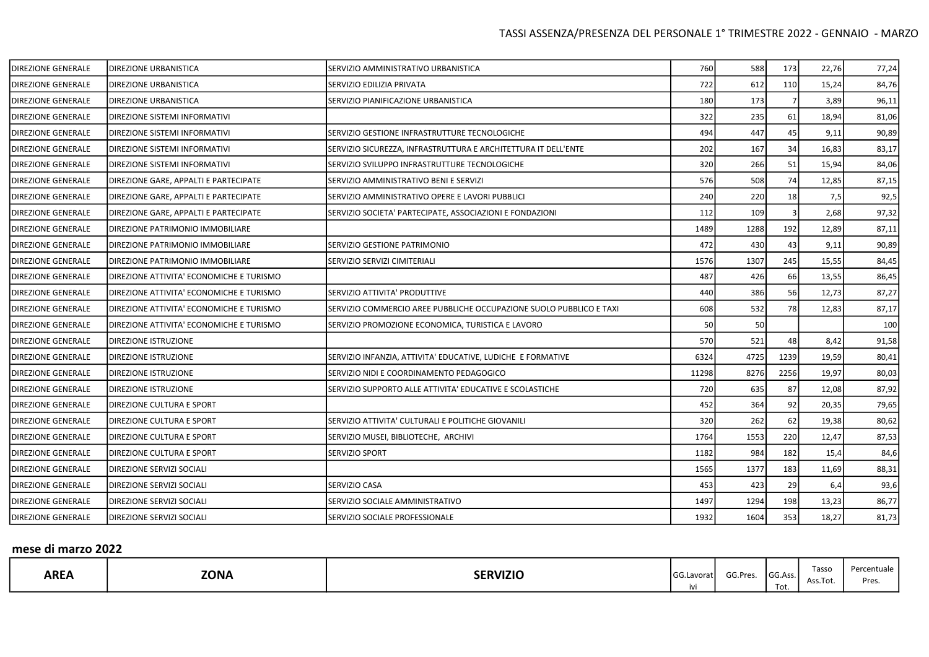| DIREZIONE GENERALE        | <b>DIREZIONE URBANISTICA</b>             | SERVIZIO AMMINISTRATIVO URBANISTICA                                 | 760   | 588  | 173  | 22,76 | 77,24 |
|---------------------------|------------------------------------------|---------------------------------------------------------------------|-------|------|------|-------|-------|
| DIREZIONE GENERALE        | <b>DIREZIONE URBANISTICA</b>             | SERVIZIO EDILIZIA PRIVATA                                           | 722   | 612  | 110  | 15,24 | 84,76 |
| <b>DIREZIONE GENERALE</b> | <b>DIREZIONE URBANISTICA</b>             | SERVIZIO PIANIFICAZIONE URBANISTICA                                 | 180   | 173  |      | 3,89  | 96,11 |
| DIREZIONE GENERALE        | <b>DIREZIONE SISTEMI INFORMATIVI</b>     |                                                                     | 322   | 235  | 61   | 18,94 | 81,06 |
| DIREZIONE GENERALE        | DIREZIONE SISTEMI INFORMATIVI            | SERVIZIO GESTIONE INFRASTRUTTURE TECNOLOGICHE                       | 494   | 447  | 45   | 9,11  | 90,89 |
| DIREZIONE GENERALE        | DIREZIONE SISTEMI INFORMATIVI            | SERVIZIO SICUREZZA, INFRASTRUTTURA E ARCHITETTURA IT DELL'ENTE      | 202   | 167  | 34   | 16,83 | 83,17 |
| DIREZIONE GENERALE        | DIREZIONE SISTEMI INFORMATIVI            | SERVIZIO SVILUPPO INFRASTRUTTURE TECNOLOGICHE                       | 320   | 266  | 51   | 15,94 | 84,06 |
| DIREZIONE GENERALE        | DIREZIONE GARE, APPALTI E PARTECIPATE    | SERVIZIO AMMINISTRATIVO BENI E SERVIZI                              | 576   | 508  | 74   | 12,85 | 87,15 |
| <b>DIREZIONE GENERALE</b> | DIREZIONE GARE, APPALTI E PARTECIPATE    | SERVIZIO AMMINISTRATIVO OPERE E LAVORI PUBBLICI                     | 240   | 220  | 18   | 7,5   | 92,5  |
| <b>DIREZIONE GENERALE</b> | DIREZIONE GARE, APPALTI E PARTECIPATE    | SERVIZIO SOCIETA' PARTECIPATE, ASSOCIAZIONI E FONDAZIONI            | 112   | 109  |      | 2,68  | 97,32 |
| DIREZIONE GENERALE        | DIREZIONE PATRIMONIO IMMOBILIARE         |                                                                     | 1489  | 1288 | 192  | 12,89 | 87,11 |
| <b>DIREZIONE GENERALE</b> | DIREZIONE PATRIMONIO IMMOBILIARE         | SERVIZIO GESTIONE PATRIMONIO                                        | 472   | 430  | 43   | 9,11  | 90,89 |
| DIREZIONE GENERALE        | DIREZIONE PATRIMONIO IMMOBILIARE         | SERVIZIO SERVIZI CIMITERIALI                                        | 1576  | 1307 | 245  | 15,55 | 84,45 |
| DIREZIONE GENERALE        | DIREZIONE ATTIVITA' ECONOMICHE E TURISMO |                                                                     | 487   | 426  | 66   | 13,55 | 86,45 |
| DIREZIONE GENERALE        | DIREZIONE ATTIVITA' ECONOMICHE E TURISMO | SERVIZIO ATTIVITA' PRODUTTIVE                                       | 440   | 386  | 56   | 12,73 | 87,27 |
| DIREZIONE GENERALE        | DIREZIONE ATTIVITA' ECONOMICHE E TURISMO | SERVIZIO COMMERCIO AREE PUBBLICHE OCCUPAZIONE SUOLO PUBBLICO E TAXI | 608   | 532  | 78   | 12,83 | 87,17 |
| DIREZIONE GENERALE        | DIREZIONE ATTIVITA' ECONOMICHE E TURISMO | SERVIZIO PROMOZIONE ECONOMICA, TURISTICA E LAVORO                   | 50    | 50   |      |       | 100   |
| DIREZIONE GENERALE        | DIREZIONE ISTRUZIONE                     |                                                                     | 570   | 521  | 48   | 8,42  | 91,58 |
| DIREZIONE GENERALE        | <b>DIREZIONE ISTRUZIONE</b>              | SERVIZIO INFANZIA, ATTIVITA' EDUCATIVE, LUDICHE E FORMATIVE         | 6324  | 4725 | 1239 | 19,59 | 80,41 |
| <b>DIREZIONE GENERALE</b> | DIREZIONE ISTRUZIONE                     | SERVIZIO NIDI E COORDINAMENTO PEDAGOGICO                            | 11298 | 8276 | 2256 | 19,97 | 80,03 |
| DIREZIONE GENERALE        | DIREZIONE ISTRUZIONE                     | SERVIZIO SUPPORTO ALLE ATTIVITA' EDUCATIVE E SCOLASTICHE            | 720   | 635  | 87   | 12,08 | 87,92 |
| DIREZIONE GENERALE        | DIREZIONE CULTURA E SPORT                |                                                                     | 452   | 364  | 92   | 20,35 | 79,65 |
| DIREZIONE GENERALE        | DIREZIONE CULTURA E SPORT                | SERVIZIO ATTIVITA' CULTURALI E POLITICHE GIOVANILI                  | 320   | 262  | 62   | 19,38 | 80,62 |
| DIREZIONE GENERALE        | <b>DIREZIONE CULTURA E SPORT</b>         | SERVIZIO MUSEI, BIBLIOTECHE, ARCHIVI                                | 1764  | 1553 | 220  | 12,47 | 87,53 |
| DIREZIONE GENERALE        | DIREZIONE CULTURA E SPORT                | SERVIZIO SPORT                                                      | 1182  | 984  | 182  | 15,4  | 84,6  |
| <b>DIREZIONE GENERALE</b> | DIREZIONE SERVIZI SOCIALI                |                                                                     | 1565  | 1377 | 183  | 11,69 | 88,31 |
| DIREZIONE GENERALE        | DIREZIONE SERVIZI SOCIALI                | SERVIZIO CASA                                                       | 453   | 423  | 29   | 6,4   | 93,6  |
| DIREZIONE GENERALE        | DIREZIONE SERVIZI SOCIALI                | SERVIZIO SOCIALE AMMINISTRATIVO                                     | 1497  | 1294 | 198  | 13,23 | 86,77 |
| <b>DIREZIONE GENERALE</b> | <b>DIREZIONE SERVIZI SOCIALI</b>         | SERVIZIO SOCIALE PROFESSIONALE                                      | 1932  | 1604 | 353  | 18,27 | 81,73 |

## mese di marzo 2022

| Tasso<br>Percentuale<br><b>ZONA</b><br><b>AREA</b><br><b>SERVIZIO</b><br>$-1$<br>$\sim$<br><b>GG.Lavorat</b><br>I GG.Ass.<br>GG.Pres<br>ASS.IU.<br>Tot.<br><b>IVI</b> |  |
|-----------------------------------------------------------------------------------------------------------------------------------------------------------------------|--|
|-----------------------------------------------------------------------------------------------------------------------------------------------------------------------|--|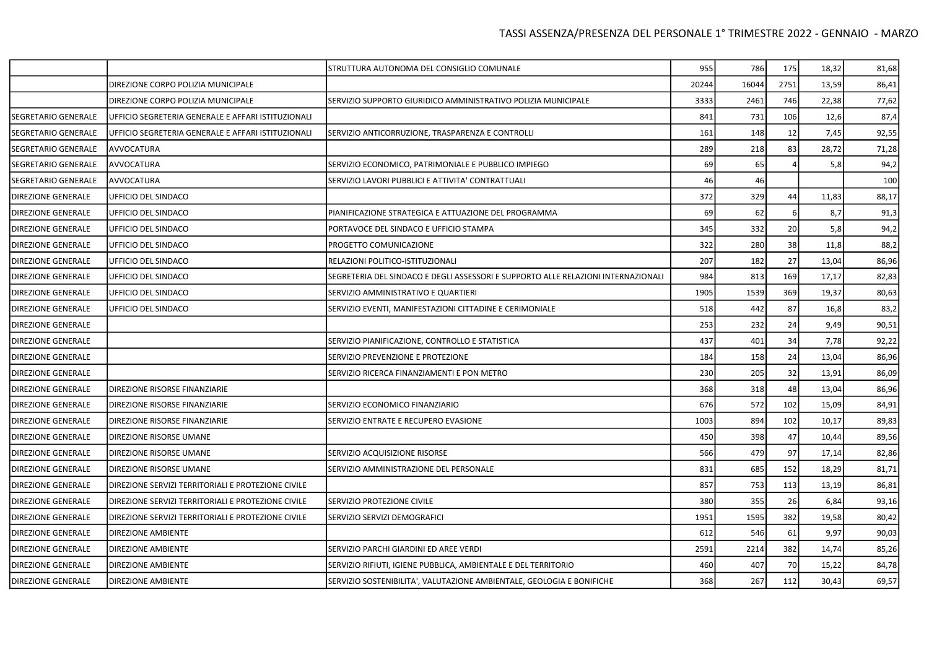### TASSI ASSENZA/PRESENZA DEL PERSONALE 1° TRIMESTRE 2022 - GENNAIO - MARZO

|                            |                                                    | STRUTTURA AUTONOMA DEL CONSIGLIO COMUNALE                                         | 955   | 786   | 175  | 18,32 | 81,68 |
|----------------------------|----------------------------------------------------|-----------------------------------------------------------------------------------|-------|-------|------|-------|-------|
|                            | DIREZIONE CORPO POLIZIA MUNICIPALE                 |                                                                                   | 20244 | 16044 | 2751 | 13,59 | 86,41 |
|                            | DIREZIONE CORPO POLIZIA MUNICIPALE                 | SERVIZIO SUPPORTO GIURIDICO AMMINISTRATIVO POLIZIA MUNICIPALE                     | 3333  | 2461  | 746  | 22,38 | 77,62 |
| <b>SEGRETARIO GENERALE</b> | UFFICIO SEGRETERIA GENERALE E AFFARI ISTITUZIONALI |                                                                                   | 841   | 731   | 106  | 12,6  | 87,4  |
| SEGRETARIO GENERALE        | UFFICIO SEGRETERIA GENERALE E AFFARI ISTITUZIONALI | SERVIZIO ANTICORRUZIONE, TRASPARENZA E CONTROLLI                                  | 161   | 148   | 12   | 7,45  | 92,55 |
| SEGRETARIO GENERALE        | AVVOCATURA                                         |                                                                                   | 289   | 218   | 83   | 28,72 | 71,28 |
| SEGRETARIO GENERALE        | AVVOCATURA                                         | SERVIZIO ECONOMICO, PATRIMONIALE E PUBBLICO IMPIEGO                               | 69    | 65    |      | 5,8   | 94,2  |
| SEGRETARIO GENERALE        | AVVOCATURA                                         | SERVIZIO LAVORI PUBBLICI E ATTIVITA' CONTRATTUALI                                 | 46    | 46    |      |       | 100   |
| <b>DIREZIONE GENERALE</b>  | UFFICIO DEL SINDACO                                |                                                                                   | 372   | 329   | 44   | 11,83 | 88,17 |
| <b>DIREZIONE GENERALE</b>  | UFFICIO DEL SINDACO                                | PIANIFICAZIONE STRATEGICA E ATTUAZIONE DEL PROGRAMMA                              | 69    | 62    |      | 8,7   | 91,3  |
| <b>DIREZIONE GENERALE</b>  | UFFICIO DEL SINDACO                                | PORTAVOCE DEL SINDACO E UFFICIO STAMPA                                            | 345   | 332   | 20   | 5,8   | 94,2  |
| <b>DIREZIONE GENERALE</b>  | UFFICIO DEL SINDACO                                | PROGETTO COMUNICAZIONE                                                            | 322   | 280   | 38   | 11,8  | 88,2  |
| <b>DIREZIONE GENERALE</b>  | UFFICIO DEL SINDACO                                | RELAZIONI POLITICO-ISTITUZIONALI                                                  | 207   | 182   | 27   | 13,04 | 86,96 |
| <b>DIREZIONE GENERALE</b>  | UFFICIO DEL SINDACO                                | SEGRETERIA DEL SINDACO E DEGLI ASSESSORI E SUPPORTO ALLE RELAZIONI INTERNAZIONALI | 984   | 813   | 169  | 17,17 | 82,83 |
| <b>DIREZIONE GENERALE</b>  | UFFICIO DEL SINDACO                                | SERVIZIO AMMINISTRATIVO E QUARTIERI                                               | 1905  | 1539  | 369  | 19,37 | 80,63 |
| <b>DIREZIONE GENERALE</b>  | UFFICIO DEL SINDACO                                | SERVIZIO EVENTI, MANIFESTAZIONI CITTADINE E CERIMONIALE                           | 518   | 442   | 87   | 16,8  | 83,2  |
| <b>DIREZIONE GENERALE</b>  |                                                    |                                                                                   | 253   | 232   | 24   | 9,49  | 90,51 |
| <b>DIREZIONE GENERALE</b>  |                                                    | SERVIZIO PIANIFICAZIONE, CONTROLLO E STATISTICA                                   | 437   | 401   | 34   | 7,78  | 92,22 |
| <b>DIREZIONE GENERALE</b>  |                                                    | SERVIZIO PREVENZIONE E PROTEZIONE                                                 | 184   | 158   | 24   | 13,04 | 86,96 |
| <b>DIREZIONE GENERALE</b>  |                                                    | SERVIZIO RICERCA FINANZIAMENTI E PON METRO                                        | 230   | 205   | 32   | 13,91 | 86,09 |
| <b>DIREZIONE GENERALE</b>  | DIREZIONE RISORSE FINANZIARIE                      |                                                                                   | 368   | 318   | 48   | 13,04 | 86,96 |
| <b>DIREZIONE GENERALE</b>  | DIREZIONE RISORSE FINANZIARIE                      | SERVIZIO ECONOMICO FINANZIARIO                                                    | 676   | 572   | 102  | 15,09 | 84,91 |
| <b>DIREZIONE GENERALE</b>  | DIREZIONE RISORSE FINANZIARIE                      | SERVIZIO ENTRATE E RECUPERO EVASIONE                                              | 1003  | 894   | 102  | 10,17 | 89,83 |
| <b>DIREZIONE GENERALE</b>  | DIREZIONE RISORSE UMANE                            |                                                                                   | 450   | 398   | 47   | 10,44 | 89,56 |
| <b>DIREZIONE GENERALE</b>  | DIREZIONE RISORSE UMANE                            | SERVIZIO ACQUISIZIONE RISORSE                                                     | 566   | 479   | 97   | 17,14 | 82,86 |
| <b>DIREZIONE GENERALE</b>  | DIREZIONE RISORSE UMANE                            | SERVIZIO AMMINISTRAZIONE DEL PERSONALE                                            | 831   | 685   | 152  | 18,29 | 81,71 |
| <b>DIREZIONE GENERALE</b>  | DIREZIONE SERVIZI TERRITORIALI E PROTEZIONE CIVILE |                                                                                   | 857   | 753   | 113  | 13,19 | 86,81 |
| <b>DIREZIONE GENERALE</b>  | DIREZIONE SERVIZI TERRITORIALI E PROTEZIONE CIVILE | SERVIZIO PROTEZIONE CIVILE                                                        | 380   | 355   | 26   | 6,84  | 93,16 |
| <b>DIREZIONE GENERALE</b>  | DIREZIONE SERVIZI TERRITORIALI E PROTEZIONE CIVILE | SERVIZIO SERVIZI DEMOGRAFICI                                                      | 1951  | 1595  | 382  | 19,58 | 80,42 |
| <b>DIREZIONE GENERALE</b>  | <b>DIREZIONE AMBIENTE</b>                          |                                                                                   | 612   | 546   | 61   | 9,97  | 90,03 |
| <b>DIREZIONE GENERALE</b>  | DIREZIONE AMBIENTE                                 | SERVIZIO PARCHI GIARDINI ED AREE VERDI                                            | 2591  | 2214  | 382  | 14,74 | 85,26 |
| DIREZIONE GENERALE         | DIREZIONE AMBIENTE                                 | SERVIZIO RIFIUTI, IGIENE PUBBLICA, AMBIENTALE E DEL TERRITORIO                    | 460   | 407   | 70   | 15,22 | 84,78 |
| DIREZIONE GENERALE         | DIREZIONE AMBIENTE                                 | SERVIZIO SOSTENIBILITA', VALUTAZIONE AMBIENTALE, GEOLOGIA E BONIFICHE             | 368   | 267   | 112  | 30,43 | 69,57 |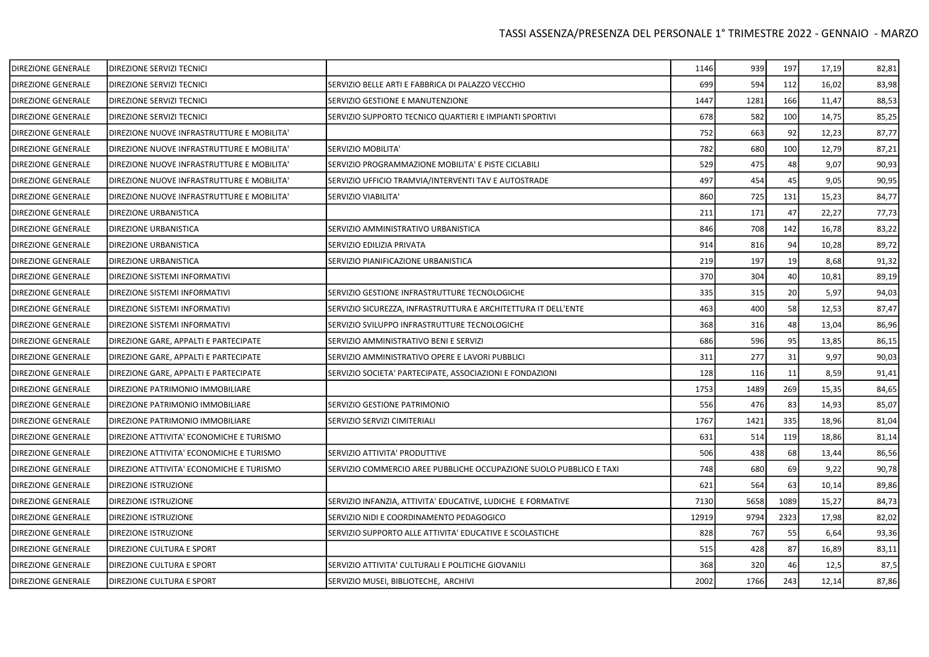| DIREZIONE GENERALE        | DIREZIONE SERVIZI TECNICI                  |                                                                     | 1146  | 939  | 197  | 17,19 | 82,81 |
|---------------------------|--------------------------------------------|---------------------------------------------------------------------|-------|------|------|-------|-------|
| DIREZIONE GENERALE        | DIREZIONE SERVIZI TECNICI                  | SERVIZIO BELLE ARTI E FABBRICA DI PALAZZO VECCHIO                   | 699   | 594  | 112  | 16,02 | 83,98 |
| DIREZIONE GENERALE        | DIREZIONE SERVIZI TECNICI                  | SERVIZIO GESTIONE E MANUTENZIONE                                    | 1447  | 1281 | 166  | 11,47 | 88,53 |
| <b>DIREZIONE GENERALE</b> | <b>DIREZIONE SERVIZI TECNICI</b>           | SERVIZIO SUPPORTO TECNICO QUARTIERI E IMPIANTI SPORTIVI             | 678   | 582  | 100  | 14,75 | 85,25 |
| DIREZIONE GENERALE        | DIREZIONE NUOVE INFRASTRUTTURE E MOBILITA' |                                                                     | 752   | 663  | 92   | 12,23 | 87,77 |
| <b>DIREZIONE GENERALE</b> | DIREZIONE NUOVE INFRASTRUTTURE E MOBILITA' | SERVIZIO MOBILITA'                                                  | 782   | 680  | 100  | 12,79 | 87,21 |
| DIREZIONE GENERALE        | DIREZIONE NUOVE INFRASTRUTTURE E MOBILITA' | SERVIZIO PROGRAMMAZIONE MOBILITA' E PISTE CICLABILI                 | 529   | 475  | 48   | 9,07  | 90,93 |
| DIREZIONE GENERALE        | DIREZIONE NUOVE INFRASTRUTTURE E MOBILITA' | SERVIZIO UFFICIO TRAMVIA/INTERVENTI TAV E AUTOSTRADE                | 497   | 454  | 45   | 9,05  | 90,95 |
| <b>DIREZIONE GENERALE</b> | DIREZIONE NUOVE INFRASTRUTTURE E MOBILITA' | SERVIZIO VIABILITA'                                                 | 860   | 725  | 131  | 15,23 | 84,77 |
| DIREZIONE GENERALE        | <b>DIREZIONE URBANISTICA</b>               |                                                                     | 211   | 171  | 47   | 22,27 | 77,73 |
| DIREZIONE GENERALE        | <b>DIREZIONE URBANISTICA</b>               | SERVIZIO AMMINISTRATIVO URBANISTICA                                 | 846   | 708  | 142  | 16,78 | 83,22 |
| DIREZIONE GENERALE        | DIREZIONE URBANISTICA                      | SERVIZIO EDILIZIA PRIVATA                                           | 914   | 816  | 94   | 10,28 | 89,72 |
| <b>DIREZIONE GENERALE</b> | DIREZIONE URBANISTICA                      | SERVIZIO PIANIFICAZIONE URBANISTICA                                 | 219   | 197  | 19   | 8,68  | 91,32 |
| <b>DIREZIONE GENERALE</b> | DIREZIONE SISTEMI INFORMATIVI              |                                                                     | 370   | 304  | 40   | 10,81 | 89,19 |
| DIREZIONE GENERALE        | <b>DIREZIONE SISTEMI INFORMATIVI</b>       | SERVIZIO GESTIONE INFRASTRUTTURE TECNOLOGICHE                       | 335   | 315  | 20   | 5,97  | 94,03 |
| DIREZIONE GENERALE        | DIREZIONE SISTEMI INFORMATIVI              | SERVIZIO SICUREZZA, INFRASTRUTTURA E ARCHITETTURA IT DELL'ENTE      | 463   | 400  | 58   | 12,53 | 87,47 |
| DIREZIONE GENERALE        | DIREZIONE SISTEMI INFORMATIVI              | SERVIZIO SVILUPPO INFRASTRUTTURE TECNOLOGICHE                       | 368   | 316  | 48   | 13,04 | 86,96 |
| DIREZIONE GENERALE        | DIREZIONE GARE, APPALTI E PARTECIPATE      | SERVIZIO AMMINISTRATIVO BENI E SERVIZI                              | 686   | 596  | 95   | 13,85 | 86,15 |
| DIREZIONE GENERALE        | DIREZIONE GARE, APPALTI E PARTECIPATE      | SERVIZIO AMMINISTRATIVO OPERE E LAVORI PUBBLICI                     | 311   | 277  | 31   | 9,97  | 90,03 |
| DIREZIONE GENERALE        | DIREZIONE GARE, APPALTI E PARTECIPATE      | SERVIZIO SOCIETA' PARTECIPATE, ASSOCIAZIONI E FONDAZIONI            | 128   | 116  | 11   | 8,59  | 91,41 |
| <b>DIREZIONE GENERALE</b> | DIREZIONE PATRIMONIO IMMOBILIARE           |                                                                     | 1753  | 1489 | 269  | 15,35 | 84,65 |
| DIREZIONE GENERALE        | <b>DIREZIONE PATRIMONIO IMMOBILIARE</b>    | SERVIZIO GESTIONE PATRIMONIO                                        | 556   | 476  | 83   | 14,93 | 85,07 |
| DIREZIONE GENERALE        | DIREZIONE PATRIMONIO IMMOBILIARE           | SERVIZIO SERVIZI CIMITERIALI                                        | 1767  | 1421 | 335  | 18,96 | 81,04 |
| <b>DIREZIONE GENERALE</b> | DIREZIONE ATTIVITA' ECONOMICHE E TURISMO   |                                                                     | 631   | 514  | 119  | 18,86 | 81,14 |
| <b>DIREZIONE GENERALE</b> | DIREZIONE ATTIVITA' ECONOMICHE E TURISMO   | SERVIZIO ATTIVITA' PRODUTTIVE                                       | 506   | 438  | 68   | 13,44 | 86,56 |
| DIREZIONE GENERALE        | DIREZIONE ATTIVITA' ECONOMICHE E TURISMO   | SERVIZIO COMMERCIO AREE PUBBLICHE OCCUPAZIONE SUOLO PUBBLICO E TAXI | 748   | 680  | 69   | 9,22  | 90,78 |
| DIREZIONE GENERALE        | DIREZIONE ISTRUZIONE                       |                                                                     | 621   | 564  | 63   | 10,14 | 89,86 |
| <b>DIREZIONE GENERALE</b> | <b>DIREZIONE ISTRUZIONE</b>                | SERVIZIO INFANZIA, ATTIVITA' EDUCATIVE, LUDICHE E FORMATIVE         | 7130  | 5658 | 1089 | 15,27 | 84,73 |
| DIREZIONE GENERALE        | <b>DIREZIONE ISTRUZIONE</b>                | SERVIZIO NIDI E COORDINAMENTO PEDAGOGICO                            | 12919 | 9794 | 2323 | 17,98 | 82,02 |
| DIREZIONE GENERALE        | <b>DIREZIONE ISTRUZIONE</b>                | SERVIZIO SUPPORTO ALLE ATTIVITA' EDUCATIVE E SCOLASTICHE            | 828   | 767  | 55   | 6,64  | 93,36 |
| DIREZIONE GENERALE        | DIREZIONE CULTURA E SPORT                  |                                                                     | 515   | 428  | 87   | 16,89 | 83,11 |
| <b>DIREZIONE GENERALE</b> | DIREZIONE CULTURA E SPORT                  | SERVIZIO ATTIVITA' CULTURALI E POLITICHE GIOVANILI                  | 368   | 320  | 46   | 12,5  | 87,5  |
| DIREZIONE GENERALE        | <b>DIREZIONE CULTURA E SPORT</b>           | SERVIZIO MUSEI, BIBLIOTECHE, ARCHIVI                                | 2002  | 1766 | 243  | 12,14 | 87,86 |